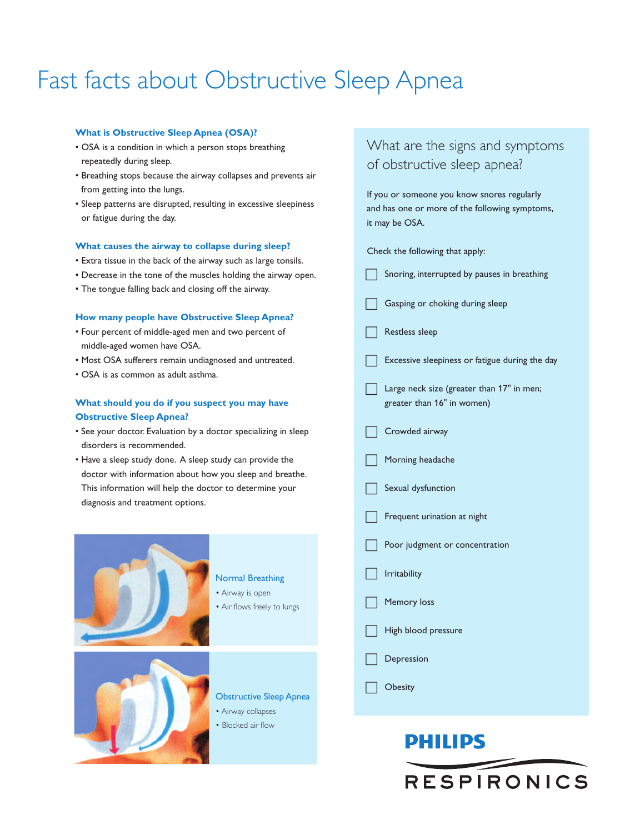# Fast facts about Obstructive Sleep Apnea

### **What is Obstructive Sleep Apnea (OSA)?**

- OSA is a condition in which a person stops breathing repeatedly during sleep.
- Breathing stops because the airway collapses and prevents air from getting into the lungs.
- Sleep patterns are disrupted, resulting in excessive sleepiness or fatigue during the day.

#### **What causes the airway to collapse during sleep?**

- Extra tissue in the back of the airway such as large tonsils.
- Decrease in the tone of the muscles holding the airway open.
- The tongue falling back and closing off the airway.

### **How many people have Obstructive Sleep Apnea?**

- Four percent of middle-aged men and two percent of middle-aged women have OSA.
- Most OSA sufferers remain undiagnosed and untreated.
- OSA is as common as adult asthma.

### **What should you do if you suspect you may have Obstructive Sleep Apnea?**

- See your doctor. Evaluation by a doctor specializing in sleep disorders is recommended.
- Have a sleep study done. A sleep study can provide the doctor with information about how you sleep and breathe. This information will help the doctor to determine your diagnosis and treatment options.



### Normal Breathing

- Airway is open
- Air flows freely to lungs



- Obstructive Sleep Apnea
- Airway collapses
- Blocked air flow

# What are the signs and symptoms of obstructive sleep apnea?

If you or someone you know snores regularly and has one or more of the following symptoms, it may be OSA.

Check the following that apply:

- $\Box$ Snoring, interrupted by pauses in breathing
- $\Box$ Gasping or choking during sleep
- $\Box$ Restless sleep
- $\Box$ Excessive sleepiness or fatigue during the day

 $\Box$  Large neck size (greater than 17" in men; greater than 16" in women)

- $\Box$ Crowded airway
- $\Box$ Morning headache
- $\Box$ Sexual dysfunction
- $\Box$ Frequent urination at night
- $\Box$ Poor judgment or concentration
- $\Box$ Irritability
- $\Box$ Memory loss
- $\Box$ High blood pressure
- $\Box$ Depression
- $\Box$ **Obesity**

# **PHILIPS**